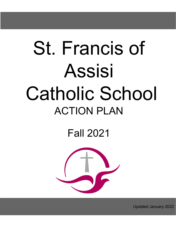# St. Francis of Assisi Catholic School ACTION PLAN

Fall 2021



Updated January 2022

1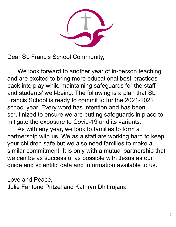Dear St. Francis School Community,

We look forward to another year of in-person teaching and are excited to bring more educational best-practices back into play while maintaining safeguards for the staff and students' well-being. The following is a plan that St. Francis School is ready to commit to for the 2021-2022 school year. Every word has intention and has been scrutinized to ensure we are putting safeguards in place to mitigate the exposure to Covid-19 and its variants.

As with any year, we look to families to form a partnership with us. We as a staff are working hard to keep your children safe but we also need families to make a similar commitment. It is only with a mutual partnership that we can be as successful as possible with Jesus as our guide and scientific data and information available to us.

Love and Peace,

Julie Fantone Pritzel and Kathryn Dhitirojana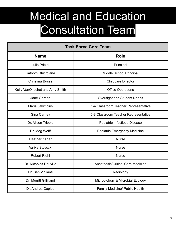## Medical and Education Consultation Team

| <b>Task Force Core Team</b>     |                                      |
|---------------------------------|--------------------------------------|
| <b>Name</b>                     | <b>Role</b>                          |
| <b>Julie Pritzel</b>            | Principal                            |
| Kathryn Dhitirojana             | <b>Middle School Principal</b>       |
| <b>Christina Busse</b>          | <b>Childcare Director</b>            |
| Kelly VanOirschot and Amy Smith | <b>Office Operations</b>             |
| Jane Gordon                     | <b>Oversight and Student Needs</b>   |
| Maria Jakimcius                 | K-4 Classroom Teacher Representative |
| <b>Gina Carney</b>              | 5-8 Classroom Teacher Representative |
| Dr. Alison Tribble              | <b>Pediatric Infectious Disease</b>  |
| Dr. Meg Wolff                   | <b>Pediatric Emergency Medicine</b>  |
| Heather Kaper                   | <b>Nurse</b>                         |
| Aarika Stovscki                 | <b>Nurse</b>                         |
| <b>Robert Riehl</b>             | <b>Nurse</b>                         |
| Dr. Nicholas Douville           | Anesthesia/Critical Care Medicine    |
| Dr. Ben Viglianti               | Radiology                            |
| Dr. Merritt Gillilland          | Microbiology & Microbial Ecology     |
| Dr. Andrea Caplea               | Family Medicine/ Public Health       |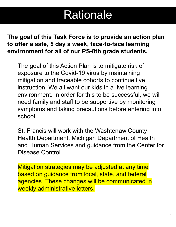### Rationale

### **The goal of this Task Force is to provide an action plan to offer a safe, 5 day a week, face-to-face learning environment for all of our PS-8th grade students.**

The goal of this Action Plan is to mitigate risk of exposure to the Covid-19 virus by maintaining mitigation and traceable cohorts to continue live instruction. We all want our kids in a live learning environment. In order for this to be successful, we will need family and staff to be supportive by monitoring symptoms and taking precautions before entering into school.

St. Francis will work with the Washtenaw County Health Department, Michigan Department of Health and Human Services and guidance from the Center for Disease Control.

Mitigation strategies may be adjusted at any time based on guidance from local, state, and federal agencies. These changes will be communicated in weekly administrative letters.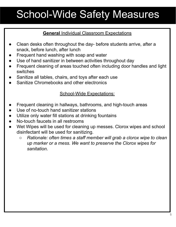## School-Wide Safety Measures

### **General** Individual Classroom Expectations

- Clean desks often throughout the day- before students arrive, after a snack, before lunch, after lunch
- Frequent hand washing with soap and water
- Use of hand sanitizer in between activities throughout day
- Frequent cleaning of areas touched often including door handles and light switches
- Sanitize all tables, chairs, and toys after each use
- Sanitize Chromebooks and other electronics

### School-Wide Expectations:

- Frequent cleaning in hallways, bathrooms, and high-touch areas
- Use of no-touch hand sanitizer stations
- Utilize only water fill stations at drinking fountains
- No-touch faucets in all restrooms
- Wet Wipes will be used for cleaning up messes. Clorox wipes and school disinfectant will be used for sanitizing.
	- *○ Rationale: often times a staff member will grab a clorox wipe to clean up marker or a mess. We want to preserve the Clorox wipes for sanitation.*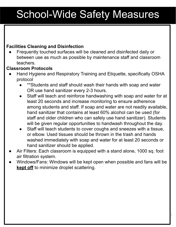## School-Wide Safety Measures

### **Facilities Cleaning and Disinfection**

Frequently touched surfaces will be cleaned and disinfected daily or between use as much as possible by maintenance staff and classroom teachers.

### **Classroom Protocols**

- Hand Hygiene and Respiratory Training and Etiquette, specifically OSHA protocol
	- \*\*Students and staff should wash their hands with soap and water OR use hand sanitizer every 2-3 hours.
	- Staff will teach and reinforce [handwashing](https://www.cdc.gov/handwashing/when-how-handwashing.html) with soap and water for at least 20 seconds and increase monitoring to ensure adherence among students and staff. If soap and water are not readily available, hand sanitizer that contains at least 60% alcohol can be used (for staff and older children who can safely use hand sanitizer). Students will be given regular opportunities to handwash throughout the day.
	- Staff will teach students to cover coughs and sneezes with a tissue, or elbow. Used tissues should be thrown in the trash and hands washed immediately with soap and water for at least 20 seconds or hand sanitizer should be applied.
- Air Filters: Each classroom is equipped with a stand alone, 1000 sq. foot air filtration system.
- Windows/Fans: Windows will be kept open when possible and fans will be **kept off** to minimize droplet scattering.

6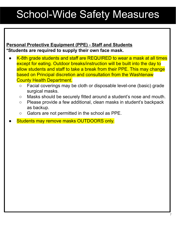## School-Wide Safety Measures

### **Personal Protective Equipment (PPE) - Staff and Students \*Students are required to supply their own face mask.**

- K-8th grade students and staff are REQUIRED to wear a mask at all times except for eating. Outdoor breaks/instruction will be built into the day to allow students and staff to take a break from their PPE. This may change based on Principal discretion and consultation from the Washtenaw County Health Department.
	- Facial coverings may be cloth or disposable level-one (basic) grade surgical masks.
	- Masks should be securely fitted around a student's nose and mouth.
	- Please provide a few additional, clean masks in student's backpack as backup.
	- Gators are not permitted in the school as PPE.
- Students may remove masks OUTDOORS only.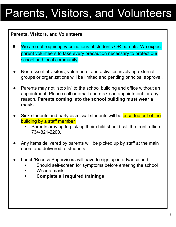## Parents, Visitors, and Volunteers

### **Parents, Visitors, and Volunteers**

- We are not requiring vaccinations of students OR parents. We expect parent volunteers to take every precaution necessary to protect our school and local community.
- Non-essential visitors, volunteers, and activities involving external groups or organizations will be limited and pending principal approval.
- Parents may not "stop in" to the school building and office without an appointment. Please call or email and make an appointment for any reason. **Parents coming into the school building must wear a mask.**
- Sick students and early dismissal students will be escorted out of the building by a staff member.
	- Parents arriving to pick up their child should call the front office: 734-821-2200.
- Any items delivered by parents will be picked up by staff at the main doors and delivered to students.
- Lunch/Recess Supervisors will have to sign up in advance and
	- Should self-screen for symptoms before entering the school
	- Wear a mask
	- **• Complete all required trainings**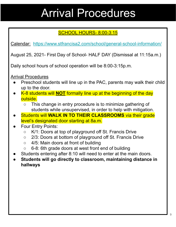## Arrival Procedures

### SCHOOL HOURS- 8:00-3:15

Calendar: <https://www.stfrancisa2.com/school/general-school-information/>

August 25, 2021- First Day of School- HALF DAY (Dismissal at 11:15a.m.)

Daily school hours of school operation will be 8:00-3:15p.m.

Arrival Procedures

- Preschool students will line up in the PAC, parents may walk their child up to the door.
- K-8 students will **NOT** formally line up at the beginning of the day outside.
	- This change in entry procedure is to minimize gathering of students while unsupervised, in order to help with mitigation.
- **Students will WALK IN TO THEIR CLASSROOMS** via their grade level's designated door starting at 8a.m.
- **Four Entry Points:** 
	- K/1: Doors at top of playground off St. Francis Drive
	- 2/3: Doors at bottom of playground off St. Francis Drive
	- 4/5: Main doors at front of building
	- 6-8: 6th grade doors at west front end of building
- Students entering after 8:10 will need to enter at the main doors.
- **● Students will go directly to classroom, maintaining distance in hallways**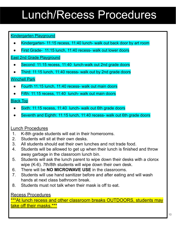## Lunch/Recess Procedures

### Kindergarten Playground

- Kindergarten- 11:15 recess, 11:40 lunch- walk out back door by art room
- First Grade- 11:15 lunch, 11:40 recess- walk out lower doors

#### East 2nd Grade Playground

- Second: 11:15 recess, 11:40 lunch-walk out 2nd grade doors
- Third: 11:15 lunch, 11:40 recess- walk out by 2nd grade doors

### Winchell Park

- Fourth 11:15 lunch, 11:40 recess- walk out main doors
- Fifth: 11:15 recess, 11:40 lunch- walk out main doors

### Black Top

- Sixth: 11:15 recess, 11:40 lunch- walk out 6th grade doors
- Seventh and Eighth: 11:15 lunch, 11:40 recess- walk out 6th grade doors

### Lunch Procedures

- 1. K-8th grade students will eat in their homerooms.
- 2. Students will sit at their own desks.
- 3. All students should eat their own lunches and not trade food.
- 4. Students will be allowed to get up when their lunch is finished and throw away garbage in the classroom lunch bin.
- 5. Students will ask the lunch parent to wipe down their desks with a clorox wipe (K-6). 7th/8th students will wipe down their own desk.
- 6. There will be **NO MICROWAVE USE** in the classrooms.
- 7. Students will use hand sanitizer before and after eating and will wash hands at next class bathroom break.
- 8. Students must not talk when their mask is off to eat.

### Recess Procedures

\*\*\*At lunch recess and other classroom breaks OUTDOORS, students may take off their masks.\*\*\*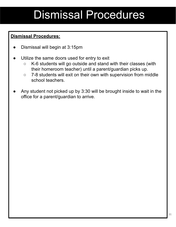## Dismissal Procedures

### **Dismissal Procedures:**

- Dismissal will begin at 3:15pm
- Utilize the same doors used for entry to exit
	- K-6 students will go outside and stand with their classes (with their homeroom teacher) until a parent/guardian picks up.
	- 7-8 students will exit on their own with supervision from middle school teachers.
- Any student not picked up by 3:30 will be brought inside to wait in the office for a parent/guardian to arrive.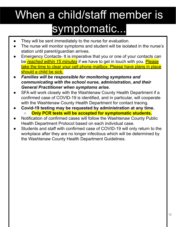## When a child/staff member is symptomatic...

- They will be sent immediately to the nurse for evaluation.
- The nurse will monitor symptoms and student will be isolated in the nurse's station until parent/guardian arrives.
- Emergency Contacts- It is imperative that you or one of your contacts can be *reached within 15 minutes* if we have to get in touch with you. Please take the time to clear your cell phone mailbox. Please have plans in place should a child be sick.
- *Families will be responsible for monitoring symptoms and communicating with the school nurse, administration, and their General Practitioner when symptoms arise.*
- SFA will work closely with the Washtenaw County Health Department if a confirmed case of COVID-19 is identified, and in particular, will cooperate with the Washtenaw County Health Department for contact tracing.
- **● Covid-19 testing may be requested by administration at any time. ○ Only PCR tests will be accepted for symptomatic students.**
- Notification of confirmed cases will follow the Washtenaw County Public Health Department Protocol based on each individual case.
- Students and staff with confirmed case of COVID-19 will only return to the workplace after they are no longer infectious which will be determined by the Washtenaw County Health Department Guidelines.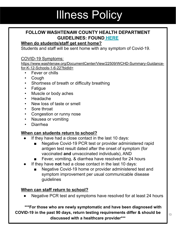## Illness Policy

### **FOLLOW WASHTENAW COUNTY HEALTH DEPARTMENT GUIDELINES: FOUND [HERE](https://www.washtenaw.org/DocumentCenter/View/22509/WCHD-Summary-Guidance-for-K-12-Schools-1-6-22?bidId=)**

### **When do students/staff get sent home?**

Students and staff will be sent home with any symptom of Covid-19.

#### COVID-19 Symptoms:

https://www.washtenaw.org/DocumentCenter/View/22509/WCHD-Summary-Guidancefor-K-12-Schools-1-6-22?bidId=

- Fever or chills
- Cough
- Shortness of breath or difficulty breathing
- Fatigue
- Muscle or body aches
- Headache
- New loss of taste or smell
- Sore throat
- Congestion or runny nose
- Nausea or vomiting
- Diarrhea

#### **When can students return to school?**

- If they have had a close contact in the last 10 days:
	- Negative Covid-19 PCR test or provider administered rapid antigen test result dated after the onset of symptom (for vaccinated **and** unvaccinated individuals), AND
	- Fever, vomiting, & diarrhea have resolved for 24 hours
- If they have **not** had a close contact in the last 10 days:
	- Negative Covid-19 home or provider administered test and symptom improvement per usual communicable disease guidelines

#### **When can staff return to school?**

Negative PCR test and symptoms have resolved for at least 24 hours

**\*\*\*For those who are newly symptomatic and have been diagnosed with COVID-19 in the past 90 days, return testing requirements differ & should be discussed with a healthcare provider\*\*\***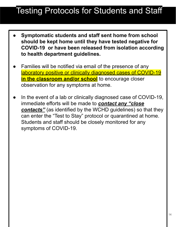### Testing Protocols for Students and Staff

- **● Symptomatic students and staff sent home from school should be kept home until they have tested negative for COVID-19 or have been released from isolation according to health department guidelines.**
- Families will be notified via email of the presence of any laboratory positive or clinically diagnosed cases of COVID-19 **in the classroom and/or school** to encourage closer observation for any symptoms at home.
- In the event of a lab or clinically diagnosed case of COVID-19, immediate efforts will be made to *contact any "close contacts"* (as identified by the WCHD guidelines) so that they can enter the "Test to Stay" protocol or quarantined at home. Students and staff should be closely monitored for any symptoms of COVID-19.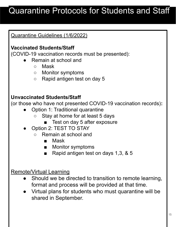### Quarantine Protocols for Students and Staff

### Quarantine Guidelines (1/6/2022)

### **Vaccinated Students/Staff**

(COVID-19 vaccination records must be presented):

- Remain at school and
	- Mask
	- Monitor symptoms
	- Rapid antigen test on day 5

### **Unvaccinated Students/Staff**

(or those who have not presented COVID-19 vaccination records)**:**

- Option 1: Traditional quarantine
	- Stay at home for at least 5 days
		- Test on day 5 after exposure
- Option 2: TEST TO STAY
	- Remain at school and
		- Mask
		- Monitor symptoms
		- Rapid antigen test on days 1,3, & 5

### Remote/Virtual Learning

- Should we be directed to transition to remote learning, format and process will be provided at that time.
- Virtual plans for students who must quarantine will be shared in September.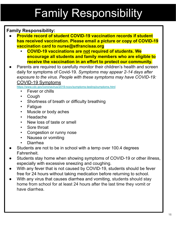## Family Responsibility

### **Family Responsibility:**

- **Provide record of student COVID-19 vaccination records if student has received vaccination. Please email a picture or copy of COVID-19 vaccination card to nurse@stfrancisaa.org**
	- **• COVID-19 vaccinations are not required of students. We encourage all students and family members who are eligible to receive the vaccination in an effort to protect our community.**
- Parents are required to carefully monitor their children's health and screen daily for symptoms of Covid-19. *Symptoms may appear 2-14 days after exposure to the virus. People with these symptoms may have COVID-19:* COVID-19 Symptoms

<https://www.cdc.gov/coronavirus/2019-ncov/symptoms-testing/symptoms.html>

- Fever or chills
- **Cough**
- Shortness of breath or difficulty breathing
- **Fatigue**
- Muscle or body aches
- Headache
- New loss of taste or smell
- Sore throat
- Congestion or runny nose
- Nausea or vomiting
- Diarrhea
- Students are not to be in school with a temp over 100.4 degrees Fahrenheit.
- Students stay home when showing symptoms of COVID-19 or other illness, especially with excessive sneezing and coughing.
- With any fever that is not caused by COVID-19, students should be fever free for 24 hours without taking medication before returning to school.
- With any virus that causes diarrhea and vomiting, students should stay home from school for at least 24 hours after the last time they vomit or have diarrhea.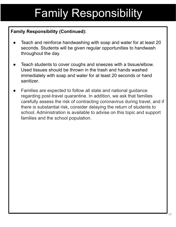## Family Responsibility

### **Family Responsibility (Continued):**

- Teach and reinforce [handwashing](https://www.cdc.gov/handwashing/when-how-handwashing.html) with soap and water for at least 20 seconds. Students will be given regular opportunities to handwash throughout the day.
- Teach students to cover coughs and sneezes with a tissue/elbow. Used tissues should be thrown in the trash and hands washed immediately with soap and water for at least 20 seconds or hand sanitizer.
- Families are expected to follow all state and national guidance regarding post-travel quarantine. In addition, we ask that families carefully assess the risk of contracting coronavirus during travel, and if there is substantial risk, consider delaying the return of students to school. Administration is available to advise on this topic and support families and the school population.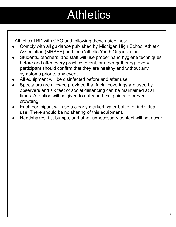## **Athletics**

Athletics TBD with CYO and following these guidelines:

- Comply with all guidance published by Michigan High School Athletic Association (MHSAA) and the Catholic Youth Organization
- Students, teachers, and staff will use proper hand hygiene techniques before and after every practice, event, or other gathering. Every participant should confirm that they are healthy and without any symptoms prior to any event.
- All equipment will be disinfected before and after use.
- Spectators are allowed provided that facial coverings are used by observers and six feet of social distancing can be maintained at all times. Attention will be given to entry and exit points to prevent crowding.
- Each participant will use a clearly marked water bottle for individual use. There should be no sharing of this equipment.
- Handshakes, fist bumps, and other unnecessary contact will not occur.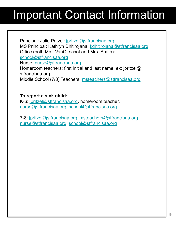## Important Contact Information

Principal: Julie Pritzel: [jpritzel@stfrancisaa.org](mailto:jpritzel@stfrancisaa.org) MS Principal: Kathryn Dhitirojana: [kdhitirojana@stfrancisaa.org](mailto:kdhitirojana@stfrancisaa.org) Office (both Mrs. VanOirschot and Mrs. Smith): [school@stfrancisaa.org](mailto:schooloffice@stfrancisaa.org) Nurse: [nurse@stfrancisaa.org](mailto:nurse@stfrancisaa.org) Homeroom teachers: first initial and last name: ex: jpritzel@ stfrancisaa.org Middle School (7/8) Teachers: [msteachers@stfrancisaa.org](mailto:msteachers@stfrancisaa.org)

### **To report a sick child:**

K-6: [jpritzel@stfrancisaa.org,](mailto:jpritzel@stfrancisaa.org) homeroom teacher, [nurse@stfrancisaa.org,](mailto:nurse@stfrancisaa.org) [school@stfrancisaa.org](mailto:schooloffice@stfrancisaa.org)

7-8: [jpritzel@stfrancisaa.org](mailto:jpritzel@stfrancisaa.org), [msteachers@stfrancisaa.org](mailto:msteachers@stfrancisaa.org), [nurse@stfrancisaa.org,](mailto:nurse@stfrancisaa.org) [school@stfrancisaa.org](mailto:schooloffice@stfrancisaa.org)